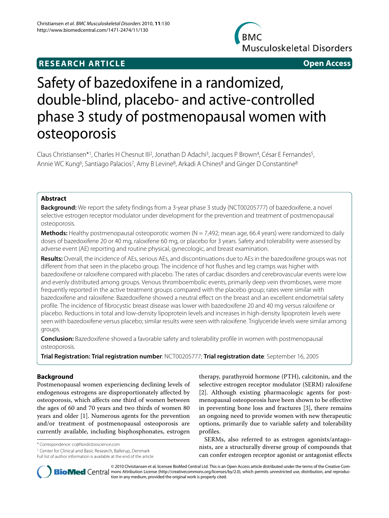# **RESEARCH ARTICLE Open Access**



# Safety of bazedoxifene in a randomized, double-blind, placebo- and active-controlled phase 3 study of postmenopausal women with osteoporosis

Claus Christiansen\*1, Charles H Chesnut III<sup>2</sup>, Jonathan D Adachi<sup>3</sup>, Jacques P Brown<sup>4</sup>, César E Fernandes<sup>5</sup>, Annie WC Kung<sup>6</sup>, Santiago Palacios<sup>7</sup>, Amy B Levine<sup>8</sup>, Arkadi A Chines<sup>8</sup> and Ginger D Constantine<sup>8</sup>

# **Abstract**

**Background:** We report the safety findings from a 3-year phase 3 study (NCT00205777) of bazedoxifene, a novel selective estrogen receptor modulator under development for the prevention and treatment of postmenopausal osteoporosis.

**Methods:** Healthy postmenopausal osteoporotic women (N = 7,492; mean age, 66.4 years) were randomized to daily doses of bazedoxifene 20 or 40 mg, raloxifene 60 mg, or placebo for 3 years. Safety and tolerability were assessed by adverse event (AE) reporting and routine physical, gynecologic, and breast examination.

**Results:** Overall, the incidence of AEs, serious AEs, and discontinuations due to AEs in the bazedoxifene groups was not different from that seen in the placebo group. The incidence of hot flushes and leg cramps was higher with bazedoxifene or raloxifene compared with placebo. The rates of cardiac disorders and cerebrovascular events were low and evenly distributed among groups. Venous thromboembolic events, primarily deep vein thromboses, were more frequently reported in the active treatment groups compared with the placebo group; rates were similar with bazedoxifene and raloxifene. Bazedoxifene showed a neutral effect on the breast and an excellent endometrial safety profile. The incidence of fibrocystic breast disease was lower with bazedoxifene 20 and 40 mg versus raloxifene or placebo. Reductions in total and low-density lipoprotein levels and increases in high-density lipoprotein levels were seen with bazedoxifene versus placebo; similar results were seen with raloxifene. Triglyceride levels were similar among groups.

**Conclusion:** Bazedoxifene showed a favorable safety and tolerability profile in women with postmenopausal osteoporosis.

**Trial Registration: Trial registration number**: NCT00205777; **Trial registration date**: September 16, 2005

# **Background**

Postmenopausal women experiencing declining levels of endogenous estrogens are disproportionately affected by osteoporosis, which affects one third of women between the ages of 60 and 70 years and two thirds of women 80 years and older [\[1](#page-9-0)]. Numerous agents for the prevention and/or treatment of postmenopausal osteoporosis are currently available, including bisphosphonates, estrogen

\* Correspondence: cc@Nordicbioscience.com

1 Center for Clinical and Basic Research, Ballerup, Denmark Full list of author information is available at the end of the article

therapy, parathyroid hormone (PTH), calcitonin, and the selective estrogen receptor modulator (SERM) raloxifene [[2\]](#page-9-1). Although existing pharmacologic agents for postmenopausal osteoporosis have been shown to be effective in preventing bone loss and fractures [[3](#page-9-2)], there remains an ongoing need to provide women with new therapeutic options, primarily due to variable safety and tolerability profiles.

SERMs, also referred to as estrogen agonists/antagonists, are a structurally diverse group of compounds that can confer estrogen receptor agonist or antagonist effects



© 2010 Christiansen et al; licensee BioMed Central Ltd. This is an Open Access article distributed under the terms of the Creative Com-**Bio Med** Central mons Attribution License (http://creativecommons.org/licenses/by/2.0), which permits unrestricted use, distribution, and reproduction in any medium, provided the original work is properly cited.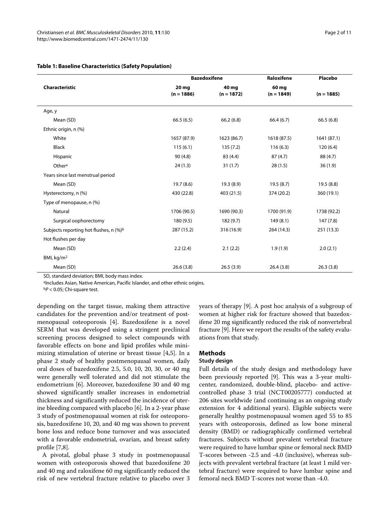|                                        | <b>Bazedoxifene</b>   |                       | Raloxifene            | Placebo      |  |
|----------------------------------------|-----------------------|-----------------------|-----------------------|--------------|--|
| <b>Characteristic</b>                  | 20 mg<br>$(n = 1886)$ | 40 mg<br>$(n = 1872)$ | 60 mg<br>$(n = 1849)$ | $(n = 1885)$ |  |
|                                        |                       |                       |                       |              |  |
| Age, y                                 |                       |                       |                       |              |  |
| Mean (SD)                              | 66.5(6.5)             | 66.2(6.8)             | 66.4(6.7)             | 66.5(6.8)    |  |
| Ethnic origin, n (%)                   |                       |                       |                       |              |  |
| White                                  | 1657 (87.9)           | 1623 (86.7)           | 1618 (87.5)           | 1641 (87.1)  |  |
| <b>Black</b>                           | 115(6.1)              | 135(7.2)              | 116(6.3)              | 120(6.4)     |  |
| Hispanic                               | 90(4.8)               | 83 (4.4)              | 87(4.7)               | 88 (4.7)     |  |
| Othera                                 | 24(1.3)               | 31(1.7)               | 28(1.5)               | 36(1.9)      |  |
| Years since last menstrual period      |                       |                       |                       |              |  |
| Mean (SD)                              | 19.7 (8.6)            | 19.3 (8.9)            | 19.5(8.7)             | 19.5(8.8)    |  |
| Hysterectomy, n (%)                    | 430 (22.8)            | 403 (21.5)            | 374 (20.2)            | 360 (19.1)   |  |
| Type of menopause, n (%)               |                       |                       |                       |              |  |
| Natural                                | 1706 (90.5)           | 1690 (90.3)           | 1700 (91.9)           | 1738 (92.2)  |  |
| Surgical oophorectomy                  | 180 (9.5)             | 182 (9.7)             | 149(8.1)              | 147(7.8)     |  |
| Subjects reporting hot flushes, n (%)b | 287 (15.2)            | 316 (16.9)            | 264 (14.3)            | 251 (13.3)   |  |
| Hot flushes per day                    |                       |                       |                       |              |  |
| Mean (SD)                              | 2.2(2.4)              | 2.1(2.2)              | 1.9(1.9)              | 2.0(2.1)     |  |
| BMI, kg/m <sup>2</sup>                 |                       |                       |                       |              |  |
| Mean (SD)                              | 26.6(3.8)             | 26.5(3.9)             | 26.4(3.8)             | 26.3(3.8)    |  |

# **Table 1: Baseline Characteristics (Safety Population)**

SD, standard deviation; BMI, body mass index.

aIncludes Asian, Native American, Pacific Islander, and other ethnic origins.

 $bP < 0.05$ ; Chi-square test.

depending on the target tissue, making them attractive candidates for the prevention and/or treatment of postmenopausal osteoporosis [\[4](#page-9-3)]. Bazedoxifene is a novel SERM that was developed using a stringent preclinical screening process designed to select compounds with favorable effects on bone and lipid profiles while minimizing stimulation of uterine or breast tissue [\[4](#page-9-3)[,5](#page-9-4)]. In a phase 2 study of healthy postmenopausal women, daily oral doses of bazedoxifene 2.5, 5.0, 10, 20, 30, or 40 mg were generally well tolerated and did not stimulate the endometrium [\[6](#page-9-5)]. Moreover, bazedoxifene 30 and 40 mg showed significantly smaller increases in endometrial thickness and significantly reduced the incidence of uterine bleeding compared with placebo [[6\]](#page-9-5). In a 2-year phase 3 study of postmenopausal women at risk for osteoporosis, bazedoxifene 10, 20, and 40 mg was shown to prevent bone loss and reduce bone turnover and was associated with a favorable endometrial, ovarian, and breast safety profile [[7,](#page-9-6)[8](#page-9-7)].

A pivotal, global phase 3 study in postmenopausal women with osteoporosis showed that bazedoxifene 20 and 40 mg and raloxifene 60 mg significantly reduced the risk of new vertebral fracture relative to placebo over 3 years of therapy [\[9\]](#page-9-8). A post hoc analysis of a subgroup of women at higher risk for fracture showed that bazedoxifene 20 mg significantly reduced the risk of nonvertebral fracture [\[9](#page-9-8)]. Here we report the results of the safety evaluations from that study.

# **Methods**

#### **Study design**

Full details of the study design and methodology have been previously reported [\[9\]](#page-9-8). This was a 3-year multicenter, randomized, double-blind, placebo- and activecontrolled phase 3 trial (NCT00205777) conducted at 206 sites worldwide (and continuing as an ongoing study extension for 4 additional years). Eligible subjects were generally healthy postmenopausal women aged 55 to 85 years with osteoporosis, defined as low bone mineral density (BMD) or radiographically confirmed vertebral fractures. Subjects without prevalent vertebral fracture were required to have lumbar spine or femoral neck BMD T-scores between -2.5 and -4.0 (inclusive), whereas subjects with prevalent vertebral fracture (at least 1 mild vertebral fracture) were required to have lumbar spine and femoral neck BMD T-scores not worse than -4.0.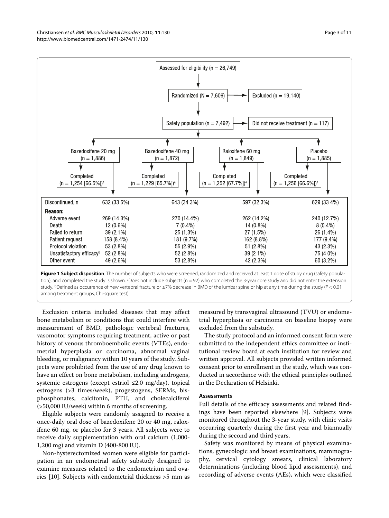<span id="page-2-0"></span>

**Figure 1 Subject disposition**. The number of subjects who were screened, randomized and received at least 1 dose of study drug (safety population), and completed the study is shown. <sup>a</sup>Does not include subjects (n = 92) who completed the 3-year core study and did not enter the extension study. **bDefined as occurrence of new vertebral fracture or ≥7% decrease in BMD of the lumbar spine or hip at any time during the study (P < 0.01** among treatment groups, Chi-square test).

Exclusion criteria included diseases that may affect bone metabolism or conditions that could interfere with measurement of BMD, pathologic vertebral fractures, vasomotor symptoms requiring treatment, active or past history of venous thromboembolic events (VTEs), endometrial hyperplasia or carcinoma, abnormal vaginal bleeding, or malignancy within 10 years of the study. Subjects were prohibited from the use of any drug known to have an effect on bone metabolism, including androgens, systemic estrogens (except estriol ≤2.0 mg/day), topical estrogens (>3 times/week), progestogens, SERMs, bisphosphonates, calcitonin, PTH, and cholecalciferol (>50,000 IU/week) within 6 months of screening.

Eligible subjects were randomly assigned to receive a once-daily oral dose of bazedoxifene 20 or 40 mg, raloxifene 60 mg, or placebo for 3 years. All subjects were to receive daily supplementation with oral calcium (1,000- 1,200 mg) and vitamin D (400-800 IU).

Non-hysterectomized women were eligible for participation in an endometrial safety substudy designed to examine measures related to the endometrium and ovaries [[10\]](#page-9-9). Subjects with endometrial thickness >5 mm as

measured by transvaginal ultrasound (TVU) or endometrial hyperplasia or carcinoma on baseline biopsy were excluded from the substudy.

The study protocol and an informed consent form were submitted to the independent ethics committee or institutional review board at each institution for review and written approval. All subjects provided written informed consent prior to enrollment in the study, which was conducted in accordance with the ethical principles outlined in the Declaration of Helsinki.

# **Assessments**

Full details of the efficacy assessments and related findings have been reported elsewhere [\[9](#page-9-8)]. Subjects were monitored throughout the 3-year study, with clinic visits occurring quarterly during the first year and biannually during the second and third years.

Safety was monitored by means of physical examinations, gynecologic and breast examinations, mammography, cervical cytology smears, clinical laboratory determinations (including blood lipid assessments), and recording of adverse events (AEs), which were classified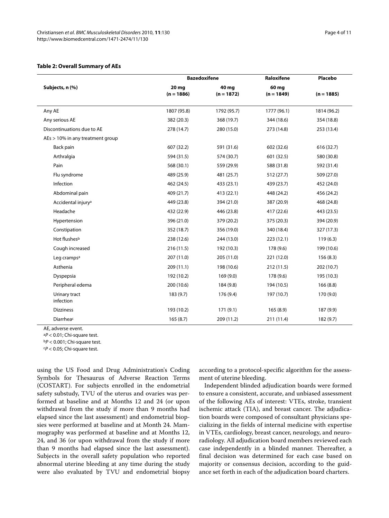# <span id="page-3-0"></span>**Table 2: Overall Summary of AEs**

|                                  | <b>Bazedoxifene</b>   |                       | Raloxifene            | Placebo      |
|----------------------------------|-----------------------|-----------------------|-----------------------|--------------|
| Subjects, n (%)                  | 20 mg<br>$(n = 1886)$ | 40 mg<br>$(n = 1872)$ | 60 mg<br>$(n = 1849)$ | $(n = 1885)$ |
| Any AE                           | 1807 (95.8)           | 1792 (95.7)           | 1777 (96.1)           | 1814 (96.2)  |
| Any serious AE                   | 382 (20.3)            | 368 (19.7)            | 344 (18.6)            | 354 (18.8)   |
| Discontinuations due to AE       | 278 (14.7)            | 280 (15.0)            | 273 (14.8)            | 253 (13.4)   |
| AEs > 10% in any treatment group |                       |                       |                       |              |
| Back pain                        | 607 (32.2)            | 591 (31.6)            | 602 (32.6)            | 616 (32.7)   |
| Arthralgia                       | 594 (31.5)            | 574 (30.7)            | 601 (32.5)            | 580 (30.8)   |
| Pain                             | 568 (30.1)            | 559 (29.9)            | 588 (31.8)            | 592 (31.4)   |
| Flu syndrome                     | 489 (25.9)            | 481 (25.7)            | 512 (27.7)            | 509 (27.0)   |
| Infection                        | 462 (24.5)            | 433 (23.1)            | 439 (23.7)            | 452 (24.0)   |
| Abdominal pain                   | 409 (21.7)            | 413 (22.1)            | 448 (24.2)            | 456 (24.2)   |
| Accidental injury <sup>a</sup>   | 449 (23.8)            | 394 (21.0)            | 387 (20.9)            | 468 (24.8)   |
| Headache                         | 432 (22.9)            | 446 (23.8)            | 417 (22.6)            | 443 (23.5)   |
| Hypertension                     | 396 (21.0)            | 379 (20.2)            | 375 (20.3)            | 394 (20.9)   |
| Constipation                     | 352 (18.7)            | 356 (19.0)            | 340 (18.4)            | 327 (17.3)   |
| Hot flushesb                     | 238 (12.6)            | 244 (13.0)            | 223(12.1)             | 119(6.3)     |
| Cough increased                  | 216(11.5)             | 192 (10.3)            | 178 (9.6)             | 199 (10.6)   |
| Leg cramps <sup>a</sup>          | 207 (11.0)            | 205 (11.0)            | 221 (12.0)            | 156(8.3)     |
| Asthenia                         | 209(11.1)             | 198 (10.6)            | 212(11.5)             | 202 (10.7)   |
| Dyspepsia                        | 192 (10.2)            | 169(9.0)              | 178 (9.6)             | 195 (10.3)   |
| Peripheral edema                 | 200 (10.6)            | 184 (9.8)             | 194 (10.5)            | 166(8.8)     |
| Urinary tract<br>infection       | 183 (9.7)             | 176 (9.4)             | 197 (10.7)            | 170 (9.0)    |
| <b>Dizziness</b>                 | 193 (10.2)            | 171(9.1)              | 165(8.9)              | 187 (9.9)    |
| Diarrheac                        | 165(8.7)              | 209 (11.2)            | 211 (11.4)            | 182 (9.7)    |

AE, adverse event.

<sup>a</sup>P < 0.01; Chi-square test.

 $bP < 0.001$ ; Chi-square test.

 $cP < 0.05$ ; Chi-square test.

using the US Food and Drug Administration's Coding Symbols for Thesaurus of Adverse Reaction Terms (COSTART). For subjects enrolled in the endometrial safety substudy, TVU of the uterus and ovaries was performed at baseline and at Months 12 and 24 (or upon withdrawal from the study if more than 9 months had elapsed since the last assessment) and endometrial biopsies were performed at baseline and at Month 24. Mammography was performed at baseline and at Months 12, 24, and 36 (or upon withdrawal from the study if more than 9 months had elapsed since the last assessment). Subjects in the overall safety population who reported abnormal uterine bleeding at any time during the study were also evaluated by TVU and endometrial biopsy according to a protocol-specific algorithm for the assessment of uterine bleeding.

Independent blinded adjudication boards were formed to ensure a consistent, accurate, and unbiased assessment of the following AEs of interest: VTEs, stroke, transient ischemic attack (TIA), and breast cancer. The adjudication boards were composed of consultant physicians specializing in the fields of internal medicine with expertise in VTEs, cardiology, breast cancer, neurology, and neuroradiology. All adjudication board members reviewed each case independently in a blinded manner. Thereafter, a final decision was determined for each case based on majority or consensus decision, according to the guidance set forth in each of the adjudication board charters.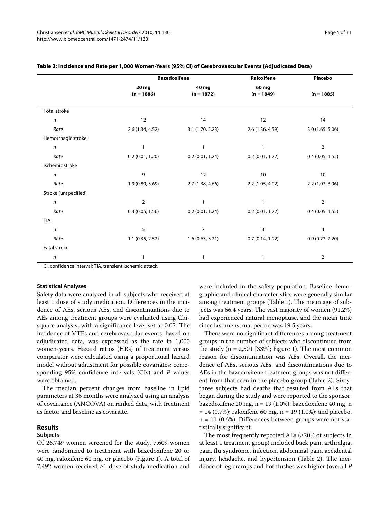|                      |                       | <b>Bazedoxifene</b>   | Raloxifene            | Placebo          |
|----------------------|-----------------------|-----------------------|-----------------------|------------------|
|                      | 20 mg<br>$(n = 1886)$ | 40 mg<br>$(n = 1872)$ | 60 mg<br>$(n = 1849)$ | $(n = 1885)$     |
| Total stroke         |                       |                       |                       |                  |
| $\sqrt{n}$           | 12                    | 14                    | 12                    | 14               |
| Rate                 | 2.6 (1.34, 4.52)      | 3.1(1.70, 5.23)       | 2.6 (1.36, 4.59)      | 3.0(1.65, 5.06)  |
| Hemorrhagic stroke   |                       |                       |                       |                  |
| $\boldsymbol{n}$     | 1                     |                       | $\mathbf{1}$          | $\overline{2}$   |
| Rate                 | 0.2(0.01, 1.20)       | 0.2(0.01, 1.24)       | 0.2(0.01, 1.22)       | 0.4(0.05, 1.55)  |
| Ischemic stroke      |                       |                       |                       |                  |
| $\boldsymbol{n}$     | 9                     | 12                    | 10                    | 10               |
| Rate                 | 1.9(0.89, 3.69)       | 2.7(1.38, 4.66)       | 2.2(1.05, 4.02)       | 2.2 (1.03, 3.96) |
| Stroke (unspecified) |                       |                       |                       |                  |
| $\mathsf{n}$         | $\overline{2}$        | $\mathbf{1}$          | 1                     | $\overline{2}$   |
| Rate                 | 0.4(0.05, 1.56)       | 0.2(0.01, 1.24)       | 0.2(0.01, 1.22)       | 0.4(0.05, 1.55)  |
| <b>TIA</b>           |                       |                       |                       |                  |
| $\boldsymbol{n}$     | 5                     | $\overline{7}$        | 3                     | 4                |
| Rate                 | 1.1(0.35, 2.52)       | 1.6(0.63, 3.21)       | 0.7(0.14, 1.92)       | 0.9(0.23, 2.20)  |
| Fatal stroke         |                       |                       |                       |                  |
| $\mathsf{n}$         |                       | 1                     | 1                     | 2                |

# **Table 3: Incidence and Rate per 1,000 Women-Years (95% CI) of Cerebrovascular Events (Adjudicated Data)**

CI, confidence interval; TIA, transient ischemic attack.

#### **Statistical Analyses**

Safety data were analyzed in all subjects who received at least 1 dose of study medication. Differences in the incidence of AEs, serious AEs, and discontinuations due to AEs among treatment groups were evaluated using Chisquare analysis, with a significance level set at 0.05. The incidence of VTEs and cerebrovascular events, based on adjudicated data, was expressed as the rate in 1,000 women-years. Hazard ratios (HRs) of treatment versus comparator were calculated using a proportional hazard model without adjustment for possible covariates; corresponding 95% confidence intervals (CIs) and P values were obtained.

The median percent changes from baseline in lipid parameters at 36 months were analyzed using an analysis of covariance (ANCOVA) on ranked data, with treatment as factor and baseline as covariate.

# **Results**

# **Subjects**

Of 26,749 women screened for the study, 7,609 women were randomized to treatment with bazedoxifene 20 or 40 mg, raloxifene 60 mg, or placebo (Figure [1](#page-2-0)). A total of 7,492 women received ≥1 dose of study medication and were included in the safety population. Baseline demographic and clinical characteristics were generally similar among treatment groups (Table 1). The mean age of subjects was 66.4 years. The vast majority of women (91.2%) had experienced natural menopause, and the mean time since last menstrual period was 19.5 years.

There were no significant differences among treatment groups in the number of subjects who discontinued from the study ( $n = 2,501$  [33%]; Figure [1\)](#page-2-0). The most common reason for discontinuation was AEs. Overall, the incidence of AEs, serious AEs, and discontinuations due to AEs in the bazedoxifene treatment groups was not different from that seen in the placebo group (Table [2](#page-3-0)). Sixtythree subjects had deaths that resulted from AEs that began during the study and were reported to the sponsor: bazedoxifene 20 mg, n = 19 (1.0%); bazedoxifene 40 mg, n  $= 14 (0.7\%)$ ; raloxifene 60 mg, n = 19 (1.0%); and placebo,  $n = 11$  (0.6%). Differences between groups were not statistically significant.

The most frequently reported AEs  $(\geq 20\%$  of subjects in at least 1 treatment group) included back pain, arthralgia, pain, flu syndrome, infection, abdominal pain, accidental injury, headache, and hypertension (Table [2](#page-3-0)). The incidence of leg cramps and hot flushes was higher (overall P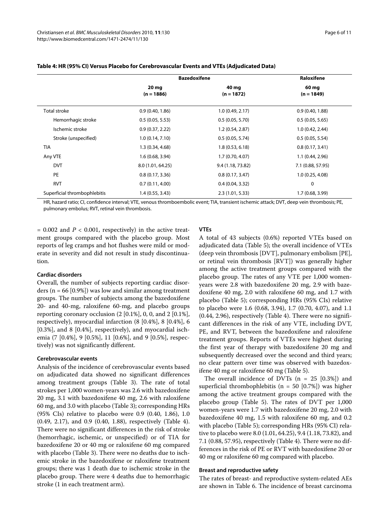|                              | <b>Bazedoxifene</b> |                   | Raloxifene        |
|------------------------------|---------------------|-------------------|-------------------|
|                              | 20 mg               | 40 mg             | 60 mg             |
|                              | $(n = 1886)$        | $(n = 1872)$      | $(n = 1849)$      |
| <b>Total stroke</b>          | 0.9(0.40, 1.86)     | 1.0(0.49, 2.17)   | 0.9(0.40, 1.88)   |
| Hemorrhagic stroke           | 0.5(0.05, 5.53)     | 0.5(0.05, 5.70)   | 0.5(0.05, 5.65)   |
| Ischemic stroke              | 0.9(0.37, 2.22)     | 1.2(0.54, 2.87)   | 1.0(0.42, 2.44)   |
| Stroke (unspecified)         | 1.0(0.14, 7.10)     | 0.5(0.05, 5.74)   | 0.5(0.05, 5.54)   |
| <b>TIA</b>                   | 1.3(0.34, 4.68)     | 1.8(0.53, 6.18)   | 0.8(0.17, 3.41)   |
| Any VTE                      | 1.6(0.68, 3.94)     | 1.7(0.70, 4.07)   | 1.1(0.44, 2.96)   |
| <b>DVT</b>                   | 8.0 (1.01, 64.25)   | 9.4 (1.18, 73.82) | 7.1 (0.88, 57.95) |
| PE                           | 0.8(0.17, 3.36)     | 0.8(0.17, 3.47)   | 1.0(0.25, 4.08)   |
| <b>RVT</b>                   | 0.7(0.11, 4.00)     | 0.4(0.04, 3.32)   | 0                 |
| Superficial thrombophlebitis | 1.4(0.55, 3.43)     | 2.3(1.01, 5.33)   | 1.7(0.68, 3.99)   |

# **Table 4: HR (95% CI) Versus Placebo for Cerebrovascular Events and VTEs (Adjudicated Data)**

HR, hazard ratio; CI, confidence interval; VTE, venous thromboembolic event; TIA, transient ischemic attack; DVT, deep vein thrombosis; PE, pulmonary embolus; RVT, retinal vein thrombosis.

 $= 0.002$  and  $P < 0.001$ , respectively) in the active treatment groups compared with the placebo group. Most reports of leg cramps and hot flushes were mild or moderate in severity and did not result in study discontinuation.

# **Cardiac disorders**

Overall, the number of subjects reporting cardiac disorders ( $n = 66$  [0.9%]) was low and similar among treatment groups. The number of subjects among the bazedoxifene 20- and 40-mg, raloxifene 60-mg, and placebo groups reporting coronary occlusion  $(2 \, [0.1\%], 0, 0, \text{ and } 2 \, [0.1\%],$ respectively), myocardial infarction (8 [0.4%], 8 [0.4%], 6 [0.3%], and 8 [0.4%], respectively), and myocardial ischemia (7 [0.4%], 9 [0.5%], 11 [0.6%], and 9 [0.5%], respectively) was not significantly different.

## **Cerebrovascular events**

Analysis of the incidence of cerebrovascular events based on adjudicated data showed no significant differences among treatment groups (Table 3). The rate of total strokes per 1,000 women-years was 2.6 with bazedoxifene 20 mg, 3.1 with bazedoxifene 40 mg, 2.6 with raloxifene 60 mg, and 3.0 with placebo (Table 3); corresponding HRs (95% CIs) relative to placebo were 0.9 (0.40, 1.86), 1.0 (0.49, 2.17), and 0.9 (0.40, 1.88), respectively (Table 4). There were no significant differences in the risk of stroke (hemorrhagic, ischemic, or unspecified) or of TIA for bazedoxifene 20 or 40 mg or raloxifene 60 mg compared with placebo (Table 3). There were no deaths due to ischemic stroke in the bazedoxifene or raloxifene treatment groups; there was 1 death due to ischemic stroke in the placebo group. There were 4 deaths due to hemorrhagic stroke (1 in each treatment arm).

## **VTEs**

A total of 43 subjects (0.6%) reported VTEs based on adjudicated data (Table [5](#page-6-0)); the overall incidence of VTEs (deep vein thrombosis [DVT], pulmonary embolism [PE], or retinal vein thrombosis [RVT]) was generally higher among the active treatment groups compared with the placebo group. The rates of any VTE per 1,000 womenyears were 2.8 with bazedoxifene 20 mg, 2.9 with bazedoxifene 40 mg, 2.0 with raloxifene 60 mg, and 1.7 with placebo (Table 5); corresponding HRs (95% CIs) relative to placebo were 1.6 (0.68, 3.94), 1.7 (0.70, 4.07), and 1.1 (0.44, 2.96), respectively (Table 4). There were no significant differences in the risk of any VTE, including DVT, PE, and RVT, between the bazedoxifene and raloxifene treatment groups. Reports of VTEs were highest during the first year of therapy with bazedoxifene 20 mg and subsequently decreased over the second and third years; no clear pattern over time was observed with bazedoxifene 40 mg or raloxifene 60 mg (Table [5](#page-6-0)).

The overall incidence of DVTs  $(n = 25 [0.3\%])$  and superficial thrombophlebitis ( $n = 50$  [0.7%]) was higher among the active treatment groups compared with the placebo group (Table 5). The rates of DVT per 1,000 women-years were 1.7 with bazedoxifene 20 mg, 2.0 with bazedoxifene 40 mg, 1.5 with raloxifene 60 mg, and 0.2 with placebo (Table 5); corresponding HRs (95% CI) relative to placebo were 8.0 (1.01, 64.25), 9.4 (1.18, 73.82), and 7.1 (0.88, 57.95), respectively (Table 4). There were no differences in the risk of PE or RVT with bazedoxifene 20 or 40 mg or raloxifene 60 mg compared with placebo.

#### **Breast and reproductive safety**

The rates of breast- and reproductive system-related AEs are shown in Table 6. The incidence of breast carcinoma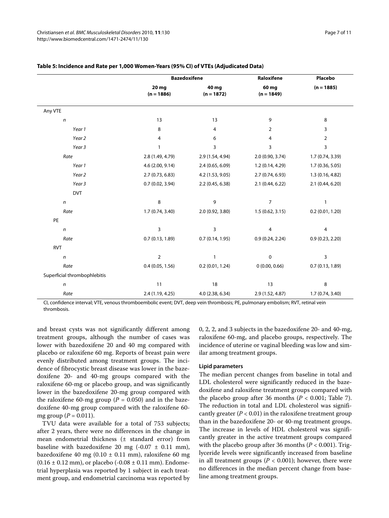|                              | <b>Bazedoxifene</b>   |                       | Raloxifene            | Placebo          |
|------------------------------|-----------------------|-----------------------|-----------------------|------------------|
|                              | 20 mg<br>$(n = 1886)$ | 40 mg<br>$(n = 1872)$ | 60 mg<br>$(n = 1849)$ | $(n = 1885)$     |
| Any VTE                      |                       |                       |                       |                  |
| $\boldsymbol{n}$             | 13                    | 13                    | 9                     | 8                |
| Year 1                       | 8                     | 4                     | $\overline{2}$        | 3                |
| Year <sub>2</sub>            | 4                     | 6                     | 4                     | $\overline{2}$   |
| Year 3                       | $\mathbf{1}$          | 3                     | 3                     | 3                |
| Rate                         | 2.8 (1.49, 4.79)      | 2.9 (1.54, 4.94)      | 2.0 (0.90, 3.74)      | 1.7 (0.74, 3.39) |
| Year 1                       | 4.6 (2.00, 9.14)      | 2.4(0.65, 6.09)       | 1.2 (0.14, 4.29)      | 1.7 (0.36, 5.05) |
| Year 2                       | 2.7(0.73, 6.83)       | 4.2 (1.53, 9.05)      | 2.7(0.74, 6.93)       | 1.3(0.16, 4.82)  |
| Year 3                       | 0.7(0.02, 3.94)       | 2.2(0.45, 6.38)       | 2.1(0.44, 6.22)       | 2.1 (0.44, 6.20) |
| <b>DVT</b>                   |                       |                       |                       |                  |
| $\sqrt{n}$                   | 8                     | 9                     | $\overline{7}$        | $\mathbf{1}$     |
| Rate                         | 1.7 (0.74, 3.40)      | 2.0 (0.92, 3.80)      | 1.5(0.62, 3.15)       | 0.2(0.01, 1.20)  |
| PE                           |                       |                       |                       |                  |
| $\boldsymbol{n}$             | 3                     | 3                     | 4                     | 4                |
| Rate                         | 0.7(0.13, 1.89)       | 0.7(0.14, 1.95)       | 0.9(0.24, 2.24)       | 0.9(0.23, 2.20)  |
| <b>RVT</b>                   |                       |                       |                       |                  |
| $\boldsymbol{n}$             | $\overline{2}$        | $\mathbf{1}$          | $\mathbf 0$           | 3                |
| Rate                         | 0.4(0.05, 1.56)       | 0.2(0.01, 1.24)       | 0(0.00, 0.66)         | 0.7(0.13, 1.89)  |
| Superficial thrombophlebitis |                       |                       |                       |                  |
| $\sqrt{n}$                   | 11                    | 18                    | 13                    | 8                |
| Rate                         | 2.4 (1.19, 4.25)      | 4.0 (2.38, 6.34)      | 2.9 (1.52, 4.87)      | 1.7 (0.74, 3.40) |

# <span id="page-6-0"></span>**Table 5: Incidence and Rate per 1,000 Women-Years (95% CI) of VTEs (Adjudicated Data)**

CI, confidence interval; VTE, venous thromboembolic event; DVT, deep vein thrombosis; PE, pulmonary embolism; RVT, retinal vein thrombosis.

and breast cysts was not significantly different among treatment groups, although the number of cases was lower with bazedoxifene 20 and 40 mg compared with placebo or raloxifene 60 mg. Reports of breast pain were evenly distributed among treatment groups. The incidence of fibrocystic breast disease was lower in the bazedoxifene 20- and 40-mg groups compared with the raloxifene 60-mg or placebo group, and was significantly lower in the bazedoxifene 20-mg group compared with the raloxifene 60-mg group ( $P = 0.050$ ) and in the bazedoxifene 40-mg group compared with the raloxifene 60 mg group ( $P = 0.011$ ).

TVU data were available for a total of 753 subjects; after 2 years, there were no differences in the change in mean endometrial thickness (± standard error) from baseline with bazedoxifene 20 mg  $(-0.07 \pm 0.11 \text{ mm})$ , bazedoxifene 40 mg (0.10 ± 0.11 mm), raloxifene 60 mg  $(0.16 \pm 0.12 \text{ mm})$ , or placebo (-0.08  $\pm$  0.11 mm). Endometrial hyperplasia was reported by 1 subject in each treatment group, and endometrial carcinoma was reported by 0, 2, 2, and 3 subjects in the bazedoxifene 20- and 40-mg, raloxifene 60-mg, and placebo groups, respectively. The incidence of uterine or vaginal bleeding was low and similar among treatment groups.

# **Lipid parameters**

The median percent changes from baseline in total and LDL cholesterol were significantly reduced in the bazedoxifene and raloxifene treatment groups compared with the placebo group after 36 months ( $P < 0.001$ ; Table 7). The reduction in total and LDL cholesterol was significantly greater ( $P < 0.01$ ) in the raloxifene treatment group than in the bazedoxifene 20- or 40-mg treatment groups. The increase in levels of HDL cholesterol was significantly greater in the active treatment groups compared with the placebo group after 36 months ( $P < 0.001$ ). Triglyceride levels were significantly increased from baseline in all treatment groups ( $P < 0.001$ ); however, there were no differences in the median percent change from baseline among treatment groups.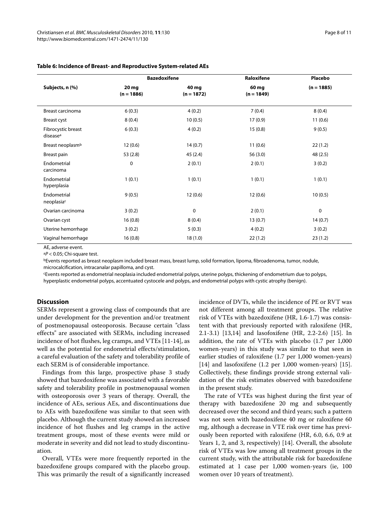|                                            |                       | <b>Bazedoxifene</b>   | Raloxifene            | Placebo      |
|--------------------------------------------|-----------------------|-----------------------|-----------------------|--------------|
| Subjects, n (%)                            | 20 mg<br>$(n = 1886)$ | 40 mg<br>$(n = 1872)$ | 60 mg<br>$(n = 1849)$ | $(n = 1885)$ |
| <b>Breast carcinoma</b>                    | 6(0.3)                | 4(0.2)                | 7(0.4)                | 8(0.4)       |
| Breast cyst                                | 8(0.4)                | 10(0.5)               | 17(0.9)               | 11(0.6)      |
| Fibrocystic breast<br>disease <sup>a</sup> | 6(0.3)                | 4(0.2)                | 15(0.8)               | 9(0.5)       |
| Breast neoplasm <sup>b</sup>               | 12(0.6)               | 14(0.7)               | 11(0.6)               | 22(1.2)      |
| Breast pain                                | 53(2.8)               | 45 (2.4)              | 56 (3.0)              | 48(2.5)      |
| Endometrial<br>carcinoma                   | $\mathbf 0$           | 2(0.1)                | 2(0.1)                | 3(0.2)       |
| Endometrial<br>hyperplasia                 | 1(0.1)                | 1(0.1)                | 1(0.1)                | 1(0.1)       |
| Endometrial<br>neoplasiac                  | 9(0.5)                | 12(0.6)               | 12(0.6)               | 10(0.5)      |
| Ovarian carcinoma                          | 3(0.2)                | $\mathbf 0$           | 2(0.1)                | 0            |
| Ovarian cyst                               | 16(0.8)               | 8(0.4)                | 13(0.7)               | 14(0.7)      |
| Uterine hemorrhage                         | 3(0.2)                | 5(0.3)                | 4(0.2)                | 3(0.2)       |
| Vaginal hemorrhage                         | 16(0.8)               | 18(1.0)               | 22(1.2)               | 23(1.2)      |

# **Table 6: Incidence of Breast- and Reproductive System-related AEs**

AE, adverse event.

 $aP < 0.05$ ; Chi-square test.

bEvents reported as breast neoplasm included breast mass, breast lump, solid formation, lipoma, fibroadenoma, tumor, nodule, microcalcification, intracanalar papilloma, and cyst.

cEvents reported as endometrial neoplasia included endometrial polyps, uterine polyps, thickening of endometrium due to polyps,

hyperplastic endometrial polyps, accentuated cystocele and polyps, and endometrial polyps with cystic atrophy (benign).

# **Discussion**

SERMs represent a growing class of compounds that are under development for the prevention and/or treatment of postmenopausal osteoporosis. Because certain "class effects" are associated with SERMs, including increased incidence of hot flushes, leg cramps, and VTEs [\[11](#page-9-10)-[14\]](#page-9-11), as well as the potential for endometrial effects/stimulation, a careful evaluation of the safety and tolerability profile of each SERM is of considerable importance.

Findings from this large, prospective phase 3 study showed that bazedoxifene was associated with a favorable safety and tolerability profile in postmenopausal women with osteoporosis over 3 years of therapy. Overall, the incidence of AEs, serious AEs, and discontinuations due to AEs with bazedoxifene was similar to that seen with placebo. Although the current study showed an increased incidence of hot flushes and leg cramps in the active treatment groups, most of these events were mild or moderate in severity and did not lead to study discontinuation.

Overall, VTEs were more frequently reported in the bazedoxifene groups compared with the placebo group. This was primarily the result of a significantly increased incidence of DVTs, while the incidence of PE or RVT was not different among all treatment groups. The relative risk of VTEs with bazedoxifene (HR, 1.6-1.7) was consistent with that previously reported with raloxifene (HR, 2.1-3.1) [[13](#page-9-12),[14](#page-9-11)] and lasofoxifene (HR, 2.2-2.6) [[15\]](#page-9-13). In addition, the rate of VTEs with placebo (1.7 per 1,000 women-years) in this study was similar to that seen in earlier studies of raloxifene (1.7 per 1,000 women-years) [[14\]](#page-9-11) and lasofoxifene (1.2 per 1,000 women-years) [\[15](#page-9-13)]. Collectively, these findings provide strong external validation of the risk estimates observed with bazedoxifene in the present study.

The rate of VTEs was highest during the first year of therapy with bazedoxifene 20 mg and subsequently decreased over the second and third years; such a pattern was not seen with bazedoxifene 40 mg or raloxifene 60 mg, although a decrease in VTE risk over time has previously been reported with raloxifene (HR, 6.0, 6.6, 0.9 at Years 1, 2, and 3, respectively) [\[14\]](#page-9-11). Overall, the absolute risk of VTEs was low among all treatment groups in the current study, with the attributable risk for bazedoxifene estimated at 1 case per 1,000 women-years (ie, 100 women over 10 years of treatment).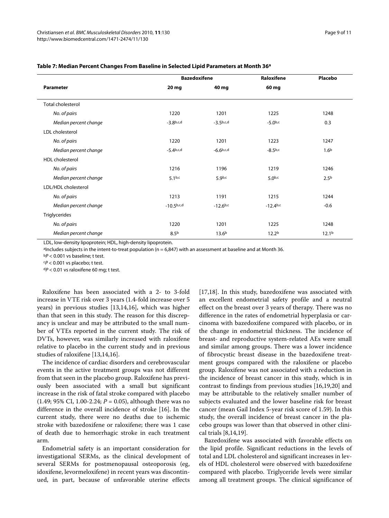|                          |                  | <b>Bazedoxifene</b> |                    | <b>Placebo</b>    |
|--------------------------|------------------|---------------------|--------------------|-------------------|
| <b>Parameter</b>         | 20 mg            | 40 mg               | 60 mg              |                   |
| <b>Total cholesterol</b> |                  |                     |                    |                   |
| No. of pairs             | 1220             | 1201                | 1225               | 1248              |
| Median percent change    | $-3.8^{b,c,d}$   | $-3.5^{b,c,d}$      | $-5.0^{b,c}$       | 0.3               |
| LDL cholesterol          |                  |                     |                    |                   |
| No. of pairs             | 1220             | 1201                | 1223               | 1247              |
| Median percent change    | $-5.4^{b,c,d}$   | $-6.6^{b,c,d}$      | $-8.5^{b,c}$       | 1.6 <sup>b</sup>  |
| <b>HDL</b> cholesterol   |                  |                     |                    |                   |
| No. of pairs             | 1216             | 1196                | 1219               | 1246              |
| Median percent change    | $5.1^{b,c}$      | 5.9 <sub>b,c</sub>  | 5.0 <sup>b,c</sup> | 2.5 <sup>b</sup>  |
| LDL/HDL cholesterol      |                  |                     |                    |                   |
| No. of pairs             | 1213             | 1191                | 1215               | 1244              |
| Median percent change    | $-10.5^{b,c,d}$  | $-12.6^{b,c}$       | $-12.4^{b,c}$      | $-0.6$            |
| <b>Triglycerides</b>     |                  |                     |                    |                   |
| No. of pairs             | 1220             | 1201                | 1225               | 1248              |
| Median percent change    | 8.5 <sup>b</sup> | 13.6 <sup>b</sup>   | 12.2 <sup>b</sup>  | 12.1 <sup>b</sup> |

# **Table 7: Median Percent Changes From Baseline in Selected Lipid Parameters at Month 36a**

LDL, low-density lipoprotein; HDL, high-density lipoprotein.

aIncludes subjects in the intent-to-treat population (n = 6,847) with an assessment at baseline and at Month 36.

 $bP < 0.001$  vs baseline; t test.

 $P < 0.001$  vs placebo; t test.

 $dP < 0.01$  vs raloxifene 60 mg; t test.

Raloxifene has been associated with a 2- to 3-fold increase in VTE risk over 3 years (1.4-fold increase over 5 years) in previous studies [\[13](#page-9-12)[,14](#page-9-11)[,16](#page-9-14)], which was higher than that seen in this study. The reason for this discrepancy is unclear and may be attributed to the small number of VTEs reported in the current study. The risk of DVTs, however, was similarly increased with raloxifene relative to placebo in the current study and in previous studies of raloxifene [[13,](#page-9-12)[14,](#page-9-11)[16\]](#page-9-14).

The incidence of cardiac disorders and cerebrovascular events in the active treatment groups was not different from that seen in the placebo group. Raloxifene has previously been associated with a small but significant increase in the risk of fatal stroke compared with placebo  $(1.49; 95\% \text{ CI}, 1.00-2.24; P = 0.05)$ , although there was no difference in the overall incidence of stroke [\[16](#page-9-14)]. In the current study, there were no deaths due to ischemic stroke with bazedoxifene or raloxifene; there was 1 case of death due to hemorrhagic stroke in each treatment arm.

Endometrial safety is an important consideration for investigational SERMs, as the clinical development of several SERMs for postmenopausal osteoporosis (eg, idoxifene, levormeloxifene) in recent years was discontinued, in part, because of unfavorable uterine effects [[17,](#page-9-15)[18\]](#page-9-16). In this study, bazedoxifene was associated with an excellent endometrial safety profile and a neutral effect on the breast over 3 years of therapy. There was no difference in the rates of endometrial hyperplasia or carcinoma with bazedoxifene compared with placebo, or in the change in endometrial thickness. The incidence of breast- and reproductive system-related AEs were small and similar among groups. There was a lower incidence of fibrocystic breast disease in the bazedoxifene treatment groups compared with the raloxifene or placebo group. Raloxifene was not associated with a reduction in the incidence of breast cancer in this study, which is in contrast to findings from previous studies [\[16](#page-9-14)[,19](#page-9-17),[20](#page-10-0)] and may be attributable to the relatively smaller number of subjects evaluated and the lower baseline risk for breast cancer (mean Gail Index 5-year risk score of 1.59). In this study, the overall incidence of breast cancer in the placebo groups was lower than that observed in other clinical trials [[8,](#page-9-7)[14,](#page-9-11)[19\]](#page-9-17).

Bazedoxifene was associated with favorable effects on the lipid profile. Significant reductions in the levels of total and LDL cholesterol and significant increases in levels of HDL cholesterol were observed with bazedoxifene compared with placebo. Triglyceride levels were similar among all treatment groups. The clinical significance of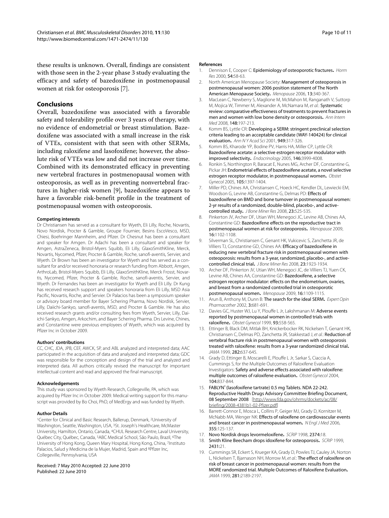# **Conclusions**

Overall, bazedoxifene was associated with a favorable safety and tolerability profile over 3 years of therapy, with no evidence of endometrial or breast stimulation. Bazedoxifene was associated with a small increase in the risk of VTEs, consistent with that seen with other SERMs, including raloxifene and lasofoxifene; however, the absolute risk of VTEs was low and did not increase over time. Combined with its demonstrated efficacy in preventing new vertebral fractures in postmenopausal women with osteoporosis, as well as in preventing nonvertebral fractures in higher-risk women [[9\]](#page-9-8), bazedoxifene appears to have a favorable risk-benefit profile in the treatment of postmenopausal women with osteoporosis.

#### **Competing interests**

Dr Christiansen has served as a consultant for Wyeth, Eli Lilly, Roche, Novartis, Novo Nordisk, Procter & Gamble, Groupe Fournier, Besins EscoVesco, MSD, Chiesi, Boehringer Mannheim, and Pfizer. Dr Chesnut has been a consultant and speaker for Amgen. Dr Adachi has been a consultant and speaker for Amgen, AstraZeneca, Bristol-Myers Squibb, Eli Lilly, GlaxoSmithKline, Merck, Novartis, Nycomed, Pfizer, Procter & Gamble, Roche, sanofi-aventis, Servier, and Wyeth. Dr Brown has been an investigator for Wyeth and has served as a consultant for and/or received honoraria or research funding from Abbott, Amgen, ArthroLab, Bristol-Myers Squibb, Eli Lilly, GlaxoSmithKline, Merck Frosst, Novartis, Nycomed, Pfizer, Procter & Gamble, Roche, sanofi-aventis, Servier, and Wyeth. Dr Fernandes has been an investigator for Wyeth and Eli Lilly. Dr Kung has received research support and speakers honoraria from Eli Lilly, MSD Asia Pacific, Novartis, Roche, and Servier. Dr Palacios has been a symposium speaker or advisory board member for Bayer Schering Pharma, Novo Nordisk, Servier, Lilly, Daiichi-Sankyo, sanofi-aventis, MSD, and Procter & Gamble. He has also received research grants and/or consulting fees from Wyeth, Servier, Lilly, Daiichi-Sankyo, Amgen, Arkochim, and Bayer Schering Pharma. Drs Levine, Chines, and Constantine were previous employees of Wyeth, which was acquired by Pfizer Inc in October 2009.

#### **Authors' contributions**

CC, CHC, JDA, JPB, CEF, AWCK, SP, and ABL analyzed and interpreted data; AAC participated in the acquisition of data and analyzed and interpreted data; GDC was responsible for the conception and design of the trial and analyzed and interpreted data. All authors critically revised the manuscript for important intellectual content and read and approved the final manuscript.

#### **Acknowledgements**

This study was sponsored by Wyeth Research, Collegeville, PA, which was acquired by Pfizer Inc in October 2009. Medical writing support for this manuscript was provided by Bo Choi, PhD, of MedErgy and was funded by Wyeth.

#### **Author Details**

1Center for Clinical and Basic Research, Ballerup, Denmark, 2University of Washington, Seattle, Washington, USA, 3St. Joseph's Healthcare, McMaster University, Hamilton, Ontario, Canada, 4CHUL Research Centre, Laval University, Québec City, Québec, Canada, 5ABC Medical School, São Paulo, Brazil, 6The University of Hong Kong, Queen Mary Hospital, Hong Kong, China, 7Instituto Palacios, Salud y Medicina de la Mujer, Madrid, Spain and 8Pfizer Inc, Collegeville, Pennsylvania, USA

Received: 7 May 2010 Accepted: 22 June 2010 Published: 22 June 2010

#### **References**

- <span id="page-9-0"></span>1. Dennison E, Cooper C: Epidemiology of osteoporotic fractures**[.](http://www.ncbi.nlm.nih.gov/entrez/query.fcgi?cmd=Retrieve&db=PubMed&dopt=Abstract&list_uids=11146381)** Horm Res 2000, 54:58-63.
- <span id="page-9-1"></span>2. North American Menopause Society: Management of osteoporosis in postmenopausal women: 2006 position statement of The North American Menopause Society**[.](http://www.ncbi.nlm.nih.gov/entrez/query.fcgi?cmd=Retrieve&db=PubMed&dopt=Abstract&list_uids=16735931)** Menopause 2006, 13:340-367.
- <span id="page-9-2"></span>3. MacLean C, Newberry S, Maglione M, McMahon M, Ranganath V, Suttorp M, Mojica W, Timmer M, Alexander A, McNamara M, et al.: Systematic review: comparative effectiveness of treatments to prevent fractures in men and women with low bone density or osteoporosis**.** Ann Intern Med 2008, 148:197-213.
- <span id="page-9-3"></span>4. Komm BS, Lyttle CR: Developing a SERM: stringent preclinical selection criteria leading to an acceptable candidate (WAY-140424) for clinical evaluation**.** Ann N Y Acad Sci 2001, 949:317-326.
- <span id="page-9-4"></span>5. Komm BS, Kharode YP, Bodine PV, Harris HA, Miller CP, Lyttle CR: Bazedoxifene acetate: a selective estrogen receptor modulator with improved selectivity**.** Endocrinology 2005, 146:3999-4008.
- <span id="page-9-5"></span>6. Ronkin S, Northington R, Baracat E, Nunes MG, Archer DF, Constantine G, Pickar JH: Endometrial effects of bazedoxifene acetate, a novel selective estrogen receptor modulator, in postmenopausal women**.** Obstet Gynecol 2005, 105:1397-1404.
- <span id="page-9-6"></span>7. Miller PD, Chines AA, Christiansen C, Hoeck HC, Kendler DL, Lewiecki EM, Woodson G, Levine AB, Constantine G, Delmas PD: Effects of bazedoxifene on BMD and bone turnover in postmenopausal women: 2-yr results of a randomized, double-blind, placebo-, and activecontrolled study**.** J Bone Miner Res 2008, 23:525-535.
- <span id="page-9-7"></span>8. Pinkerton JV, Archer DF, Utian WH, Menegoci JC, Levine AB, Chines AA, Constantine GD: Bazedoxifene effects on the reproductive tract in postmenopausal women at risk for osteoporosis**.** Menopause 2009, 16:1102-1108.
- <span id="page-9-8"></span>9. Silverman SL, Christiansen C, Genant HK, Vukicevic S, Zanchetta JR, de Villiers TJ, Constantine GD, Chines AA: Efficacy of bazedoxifene in reducing new vertebral fracture risk in postmenopausal women with osteoporosis: results from a 3-year, randomized, placebo-, and activecontrolled clinical trial**.** J Bone Miner Res 2008, 23:1923-1934.
- <span id="page-9-9"></span>10. Archer DF, Pinkerton JV, Utian WH, Menegoci JC, de Villiers TJ, Yuen CK, Levine AB, Chines AA, Constantine GD: Bazedoxifene, a selective estrogen receptor modulator: effects on the endometrium, ovaries, and breast from a randomized controlled trial in osteoporotic postmenopausal women**[.](http://www.ncbi.nlm.nih.gov/entrez/query.fcgi?cmd=Retrieve&db=PubMed&dopt=Abstract&list_uids=19543129)** Menopause 2009, 16:1109-1115.
- <span id="page-9-10"></span>11. Arun B, Anthony M, Dunn B: The search for the ideal SERM**.** Expert Opin Pharmacother 2002, 3:681-691.
- 12. Davies GC, Huster WJ, Lu Y, Plouffe L Jr, Lakshmanan M: Adverse events reported by postmenopausal women in controlled trials with raloxifene**.** Obstet Gynecol 1999, 93:558-565.
- <span id="page-9-12"></span>13. Ettinger B, Black DM, Mitlak BH, Knickerbocker RK, Nickelsen T, Genant HK, Christiansen C, Delmas PD, Zanchetta JR, Stakkestad J, et al.: Reduction of vertebral fracture risk in postmenopausal women with osteoporosis treated with raloxifene: results from a 3-year randomized clinical trial**[.](http://www.ncbi.nlm.nih.gov/entrez/query.fcgi?cmd=Retrieve&db=PubMed&dopt=Abstract&list_uids=10517716)** JAMA 1999, 282:637-645.
- <span id="page-9-11"></span>14. Grady D, Ettinger B, Moscarelli E, Plouffe L Jr, Sarkar S, Ciaccia A, Cummings S, for the Multiple Outcomes of Raloxifene Evaluation Investigators: Safety and adverse effects associated with raloxifene: multiple outcomes of raloxifene evaluation**.** Obstet Gynecol 2004, 104:837-844.
- <span id="page-9-13"></span>15. FABLYN® (lasofoxifene tartrate) 0.5 mg Tablets. NDA 22-242. Reproductive Health Drugs Advisory Committee Briefing Document, 08 September 2008 [[http://www.fda.gov/ohrms/dockets/ac/08/](http://www.fda.gov/ohrms/dockets/ac/08/briefing/2008-4381b1-02-Pfizer.pdf) [briefing/2008-4381b1-02-Pfizer.pdf\]](http://www.fda.gov/ohrms/dockets/ac/08/briefing/2008-4381b1-02-Pfizer.pdf)
- <span id="page-9-14"></span>16. Barrett-Connor E, Mosca L, Collins P, Geiger MJ, Grady D, Kornitzer M, McNabb MA, Wenger NK: Effects of raloxifene on cardiovascular events and breast cancer in postmenopausal women**.** N Engl J Med 2006, 355:125-137.
- <span id="page-9-15"></span>17. Novo Nordisk drops levormeloxifene**.** SCRIP 1998, 2374:18.
- <span id="page-9-16"></span>18. Smith Kline Beecham drops idoxifene for osteoporosis**.** SCRIP 1999, 2431:21.
- <span id="page-9-17"></span>19. Cummings SR, Eckert S, Krueger KA, Grady D, Powles TJ, Cauley JA, Norton L, Nickelsen T, Bjarnason NH, Morrow M, et al.: The effect of raloxifene on risk of breast cancer in postmenopausal women: results from the MORE randomized trial. Multiple Outcomes of Raloxifene Evaluation**.** JAMA 1999, 281:2189-2197.